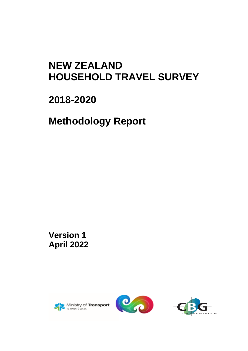# **NEW ZEALAND HOUSEHOLD TRAVEL SURVEY**

# **2018-2020**

**Methodology Report**

**Version 1 April 2022**





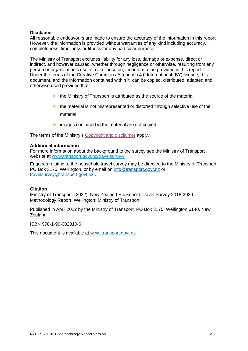## **Disclaimer**

All reasonable endeavours are made to ensure the accuracy of the information in this report. However, the information is provided without warranties of any kind including accuracy, completeness, timeliness or fitness for any particular purpose.

The Ministry of Transport excludes liability for any loss, damage or expense, direct or indirect, and however caused, whether through negligence or otherwise, resulting from any person or organisation's use of, or reliance on, the information provided in this report. Under the terms of the Creative Commons Attribution 4.0 International (BY) licence, this document, and the information contained within it, can be copied, distributed, adapted and otherwise used provided that –

- $\blacktriangleright$  the Ministry of Transport is attributed as the source of the material
- $\blacktriangleright$  the material is not misrepresented or distorted through selective use of the material
- $\triangleright$  images contained in the material are not copied

The terms of the Ministry's [Copyright and disclaimer](https://www.transport.govt.nz/footer/disclaimer/) apply.

### **Additional information**

For more information about the background to the survey see the Ministry of Transport website at [www.transport.govt.nz/travelsurvey/](http://www.transport.govt.nz/travelsurvey/)

Enquires relating to the household travel survey may be directed to the Ministry of Transport, PO Box 3175, Wellington, or by email on [info@transport.govt.nz](mailto:info@transport.govt.nz) or [travelsurvey@transport.govt.nz](mailto:travelsurvey@transport.govt.nz) .

#### **Citation**

Ministry of Transport. (2022). New Zealand Household Travel Survey 2018-2020 Methodology Report. Wellington: Ministry of Transport.

Published in April 2022 by the Ministry of Transport, PO Box 3175, Wellington 6140, New Zealand

ISBN 978-1-99-002810-6

This document is available at [www.transport.govt.nz](http://www.transport.govt.nz/)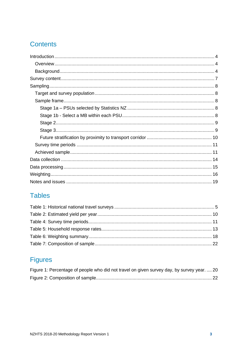## **Contents**

## **Tables**

## **Figures**

<span id="page-2-0"></span>

| Figure 1: Percentage of people who did not travel on given survey day, by survey year.  20 |  |
|--------------------------------------------------------------------------------------------|--|
|                                                                                            |  |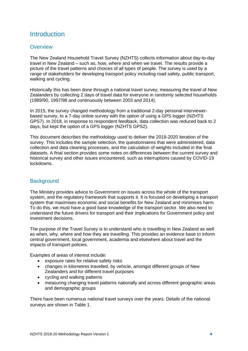## **Introduction**

## <span id="page-3-0"></span>**Overview**

The New Zealand Household Travel Survey (NZHTS) collects information about day-to-day travel in New Zealand – such as, how, where and when we travel. The results provide a picture of the travel patterns and choices of all types of people. The survey is used by a range of stakeholders for developing transport policy including road safety, public transport, walking and cycling.

Historically this has been done through a national travel survey, measuring the travel of New Zealanders by collecting 2 days of travel data for everyone in randomly selected households (1989/90, 1997/98 and continuously between 2003 and 2014).

In 2015, the survey changed methodology from a traditional 2-day personal interviewerbased survey, to a 7-day online survey with the option of using a GPS logger (NZHTS GPS7). In 2018, in response to respondent feedback, data collection was reduced back to 2 days, but kept the option of a GPS logger (NZHTS GPS2).

This document describes the methodology used to deliver the 2018-2020 iteration of the survey. This includes the sample selection, the questionnaires that were administered, data collection and data cleaning processes, and the calculation of weights included in the final datasets. A final section provides some notes on differences between the current survey and historical survey and other issues encountered, such as interruptions caused by COVID-19 lockdowns.

## <span id="page-3-1"></span>**Background**

The Ministry provides advice to Government on issues across the whole of the transport system, and the regulatory framework that supports it. It is focused on developing a transport system that maximises economic and social benefits for New Zealand and minimises harm. To do this, we must have a good base knowledge of the transport sector. We also need to understand the future drivers for transport and their implications for Government policy and investment decisions.

The purpose of the Travel Survey is to understand who is travelling in New Zealand as well as when, why, where and how they are travelling. This provides an evidence base to inform central government, local government, academia and elsewhere about travel and the impacts of transport policies.

Examples of areas of interest include:

- exposure rates for relative safety risks
- changes in kilometres travelled, by vehicle, amongst different groups of New Zealanders and for different travel purposes
- cycling and walking patterns
- measuring changing travel patterns nationally and across different geographic areas and demographic groups

There have been numerous national travel surveys over the years. Details of the national surveys are shown in [Table 1.](#page-4-0)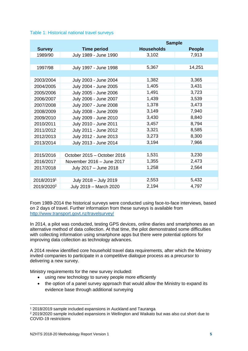<span id="page-4-0"></span>

|                        |                             | <b>Sample</b>     |               |  |  |  |
|------------------------|-----------------------------|-------------------|---------------|--|--|--|
| <b>Survey</b>          | <b>Time period</b>          | <b>Households</b> | <b>People</b> |  |  |  |
| 1989/90                | July 1989 - June 1990       | 3,102             | 7,913         |  |  |  |
|                        |                             |                   |               |  |  |  |
| 1997/98                | July 1997 - June 1998       | 5,367             | 14,251        |  |  |  |
|                        |                             |                   |               |  |  |  |
| 2003/2004              | July 2003 - June 2004       | 1,382             | 3,365         |  |  |  |
| 2004/2005              | July 2004 - June 2005       | 1,405             | 3,431         |  |  |  |
| 2005/2006              | July 2005 - June 2006       | 1,491             | 3,723         |  |  |  |
| 2006/2007              | July 2006 - June 2007       | 1,439             | 3,539         |  |  |  |
| 2007/2008              | July 2007 - June 2008       | 1,378             | 3,473         |  |  |  |
| 2008/2009              | July 2008 - June 2009       | 3,149             | 7,940         |  |  |  |
| 2009/2010              | July 2009 - June 2010       | 3,430             | 8,840         |  |  |  |
| 2010/2011              | July 2010 - June 2011       | 3,457             | 8,794         |  |  |  |
| 2011/2012              | July 2011 - June 2012       | 3,321             | 8,585         |  |  |  |
| 2012/2013              | July 2012 - June 2013       | 3,273             | 8,300         |  |  |  |
| 2013/2014              | July 2013 - June 2014       | 3,194             | 7,966         |  |  |  |
|                        |                             |                   |               |  |  |  |
| 2015/2016              | October 2015 - October 2016 | 1,531             | 3,230         |  |  |  |
| 2016/2017              | November 2016 - June 2017   | 1,355             | 2,473         |  |  |  |
| 2017/2018              | July 2017 - June 2018       | 1,258             | 2,564         |  |  |  |
|                        |                             |                   |               |  |  |  |
| 2018/20191             | July 2018 - July 2019       | 2,553             | 5,432         |  |  |  |
| 2019/2020 <sup>2</sup> | July 2019 - March 2020      | 2,194             | 4,797         |  |  |  |

From 1989-2014 the historical surveys were conducted using face-to-face interviews, based on 2 days of travel. Further information from these surveys is available from <http://www.transport.govt.nz/travelsurvey/>

In 2014, a pilot was conducted, testing GPS devices, online diaries and smartphones as an alternative method of data collection. At that time, the pilot demonstrated some difficulties with collecting information using smartphone apps but there were potential options for improving data collection as technology advances.

A 2014 review identified core household travel data requirements, after which the Ministry invited companies to participate in a competitive dialogue process as a precursor to delivering a new survey.

Ministry requirements for the new survey included:

- using new technology to survey people more efficiently
- the option of a panel survey approach that would allow the Ministry to expand its evidence base through additional surveying

<sup>1</sup> 2018/2019 sample included expansions in Auckland and Tauranga

<sup>2</sup> 2019/2020 sample included expansions in Wellington and Waikato but was also cut short due to COVID-19 restrictions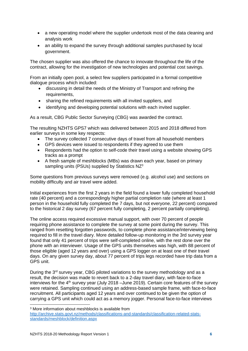- a new operating model where the supplier undertook most of the data cleaning and analysis work
- an ability to expand the survey through additional samples purchased by local government.

The chosen supplier was also offered the chance to innovate throughout the life of the contract, allowing for the investigation of new technologies and potential cost savings.

From an initially open pool, a select few suppliers participated in a formal competitive dialogue process which included:

- discussing in detail the needs of the Ministry of Transport and refining the requirements.
- sharing the refined requirements with all invited suppliers, and
- identifying and developing potential solutions with each invited supplier.

As a result, CBG Public Sector Surveying (CBG) was awarded the contract.

The resulting NZHTS GPS7 which was delivered between 2015 and 2018 differed from earlier surveys in some key respects:

- The survey collected 7 consecutive days of travel from all household members
- GPS devices were issued to respondents if they agreed to use them
- Respondents had the option to self-code their travel using a website showing GPS tracks as a prompt
- A fresh sample of meshblocks (MBs) was drawn each year, based on primary sampling units (PSUs) supplied by Statistics NZ<sup>3</sup>

Some questions from previous surveys were removed (e.g. alcohol use) and sections on mobility difficulty and air travel were added.

Initial experiences from the first 2 years in the field found a lower fully completed household rate (40 percent) and a correspondingly higher partial completion rate (where at least 1 person in the household fully completed the 7 days, but not everyone, 22 percent) compared to the historical 2 day survey (67 percent fully completing, 2 percent partially completing).

The online access required excessive manual support, with over 70 percent of people requiring phone assistance to complete the survey at some point during the survey. This ranged from resetting forgotten passwords, to complete phone assistance/interviewing being required to fill in the travel diary. More detailed follow-up monitoring in the 3rd survey year found that only 41 percent of trips were self-completed online, with the rest done over the phone with an interviewer. Usage of the GPS units themselves was high, with 88 percent of those eligible (aged 12 years and over) using a GPS logger on at least one of their travel days. On any given survey day, about 77 percent of trips legs recorded have trip data from a GPS unit.

During the 3<sup>rd</sup> survey year, CBG piloted variations to the survey methodology and as a result, the decision was made to revert back to a 2-day travel diary, with face-to-face interviews for the 4th survey year (July 2018 –June 2019). Certain core features of the survey were retained. Sampling continued using an address-based sample frame, with face-to-face recruitment. All participants aged 12 years and over continued to be given the option of carrying a GPS unit which could act as a memory jogger. Personal face-to-face interviews

<sup>3</sup> More information about meshblocks is available from

[http://archive.stats.govt.nz/methods/classifications-and-standards/classification-related-stats](http://archive.stats.govt.nz/methods/classifications-and-standards/classification-related-stats-standards/meshblock/definition.aspx)[standards/meshblock/definition.aspx](http://archive.stats.govt.nz/methods/classifications-and-standards/classification-related-stats-standards/meshblock/definition.aspx)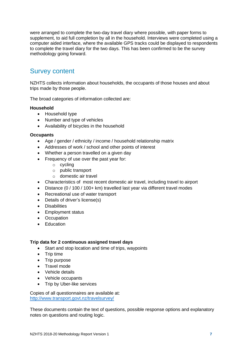were arranged to complete the two-day travel diary where possible, with paper forms to supplement, to aid full completion by all in the household. Interviews were completed using a computer aided interface, where the available GPS tracks could be displayed to respondents to complete the travel diary for the two days. This has been confirmed to be the survey methodology going forward.

## <span id="page-6-0"></span>Survey content

NZHTS collects information about households, the occupants of those houses and about trips made by those people.

The broad categories of information collected are:

## **Household**

- Household type
- Number and type of vehicles
- Availability of bicycles in the household

### **Occupants**

- Age / gender / ethnicity / income / household relationship matrix
- Addresses of work / school and other points of interest
- Whether a person travelled on a given day
- Frequency of use over the past year for:
	- o cycling
	- o public transport
	- o domestic air travel
- Characteristics of most recent domestic air travel, including travel to airport
- Distance (0 / 100 / 100+ km) travelled last year via different travel modes
- Recreational use of water transport
- Details of driver's license(s)
- Disabilities
- Employment status
- Occupation
- Education

#### **Trip data for 2 continuous assigned travel days**

- Start and stop location and time of trips, waypoints
- Trip time
- Trip purpose
- Travel mode
- Vehicle details
- Vehicle occupants
- Trip by Uber-like services

Copies of all questionnaires are available at: <http://www.transport.govt.nz/travelsurvey/>

These documents contain the text of questions, possible response options and explanatory notes on questions and routing logic.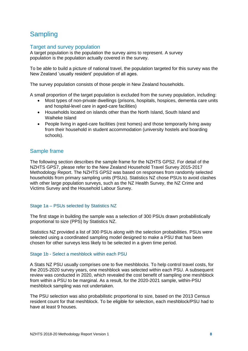## <span id="page-7-0"></span>**Sampling**

## <span id="page-7-1"></span>Target and survey population

A target population is the population the survey aims to represent. A survey population is the population actually covered in the survey.

To be able to build a picture of national travel, the population targeted for this survey was the New Zealand 'usually resident' population of all ages.

The survey population consists of those people in New Zealand households.

A small proportion of the target population is excluded from the survey population, including:

- Most types of non-private dwellings (prisons, hospitals, hospices, dementia care units and hospital-level care in aged-care facilities)
- Households located on islands other than the North Island, South Island and Waiheke Island
- People living in aged-care facilities (rest homes) and those temporarily living away from their household in student accommodation (university hostels and boarding schools).

## <span id="page-7-2"></span>Sample frame

The following section describes the sample frame for the NZHTS GPS2. For detail of the NZHTS GPS7, please refer to the New Zealand Household Travel Survey 2015-2017 Methodology Report. The NZHTS GPS2 was based on responses from randomly selected households from primary sampling units (PSUs). Statistics NZ chose PSUs to avoid clashes with other large population surveys, such as the NZ Health Survey, the NZ Crime and Victims Survey and the Household Labour Survey.

## <span id="page-7-3"></span>Stage 1a – PSUs selected by Statistics NZ

The first stage in building the sample was a selection of 300 PSUs drawn probabilistically proportional to size (PPS) by Statistics NZ.

Statistics NZ provided a list of 300 PSUs along with the selection probabilities. PSUs were selected using a coordinated sampling model designed to make a PSU that has been chosen for other surveys less likely to be selected in a given time period.

## <span id="page-7-4"></span>Stage 1b - Select a meshblock within each PSU

A Stats NZ PSU usually comprises one to five meshblocks. To help control travel costs, for the 2015-2020 survey years, one meshblock was selected within each PSU. A subsequent review was conducted in 2020, which revealed the cost benefit of sampling one meshblock from within a PSU to be marginal. As a result, for the 2020-2021 sample, within-PSU meshblock sampling was not undertaken.

<span id="page-7-5"></span>The PSU selection was also probabilistic proportional to size, based on the 2013 Census resident count for that meshblock. To be eligible for selection, each meshblock/PSU had to have at least 9 houses.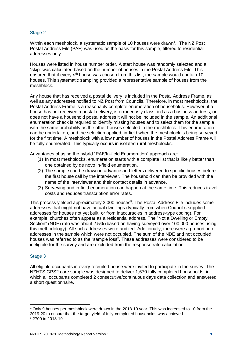## Stage 2

Within each meshblock, a systematic sample of 10 houses were drawn<sup>4</sup>. The NZ Post Postal Address File (PAF) was used as the basis for this sample, filtered to residential addresses only.

Houses were listed in house number order. A start house was randomly selected and a "skip" was calculated based on the number of houses in the Postal Address File. This ensured that if every n<sup>th</sup> house was chosen from this list, the sample would contain 10 houses. This systematic sampling provided a representative sample of houses from the meshblock.

Any house that has received a postal delivery is included in the Postal Address Frame, as well as any addresses notified to NZ Post from Councils. Therefore, in most meshblocks, the Postal Address Frame is a reasonably complete enumeration of households. However, if a house has not received a postal delivery, is erroneously classified as a business address, or does not have a household postal address it will not be included in the sample. An additional enumeration check is required to identify missing houses and to select them for the sample with the same probability as the other houses selected in the meshblock. This enumeration can be undertaken, and the selection applied, in-field when the meshblock is being surveyed for the first time. A meshblock with a low number of houses in the Postal Address Frame will be fully enumerated. This typically occurs in isolated rural meshblocks.

Advantages of using the hybrid "PAF/In-field Enumeration" approach are:

- (1) In most meshblocks, enumeration starts with a complete list that is likely better than one obtained by de novo in-field enumeration.
- (2) The sample can be drawn in advance and letters delivered to specific houses before the first house call by the interviewer. The household can then be provided with the name of the interviewer and their contact details in advance.
- (3) Surveying and in-field enumeration can happen at the same time. This reduces travel costs and reduces transcription error rates.

This process yielded approximately 3,000 houses<sup>5</sup>. The Postal Address File includes some addresses that might not have actual dwellings (typically from when Council's supplied addresses for houses not yet built, or from inaccuracies in address-type coding). For example, churches often appear as a residential address. The "Not a Dwelling or Empty Section" (NDE) rate was about 2.5% (based on having surveyed over 100,000 houses using this methodology). All such addresses were audited. Additionally, there were a proportion of addresses in the sample which were not occupied. The sum of the NDE and not occupied houses was referred to as the "sample loss". These addresses were considered to be ineligible for the survey and are excluded from the response rate calculation.

## <span id="page-8-0"></span>Stage 3

All eligible occupants in every recruited house were invited to participate in the survey. The NZHTS GPS2 core sample was designed to deliver 1,670 fully completed households, in which all occupants completed 2 consecutive/continuous days data collection and answered a short questionnaire.

<sup>4</sup> Only 9 houses per meshblock were drawn in the 2018-19 year. This was increased to 10 from the 2019-20 to ensure that the target yield of fully-completed households was achieved. <sup>5</sup> 2700 in 2018-19.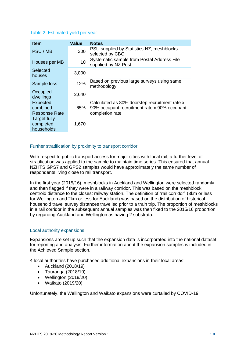## <span id="page-9-2"></span>Table 2: Estimated yield per year

| <b>Item</b>                                    | Value | <b>Notes</b>                                                                                                     |
|------------------------------------------------|-------|------------------------------------------------------------------------------------------------------------------|
| PSU / MB                                       | 300   | PSU supplied by Statistics NZ, meshblocks<br>selected by CBG                                                     |
| Houses per MB                                  | 10    | Systematic sample from Postal Address File<br>supplied by NZ Post                                                |
| Selected<br>houses                             | 3,000 |                                                                                                                  |
| Sample loss                                    | 12%   | Based on previous large surveys using same<br>methodology                                                        |
| Occupied<br>dwellings                          | 2,640 |                                                                                                                  |
| Expected<br>combined<br><b>Response Rate</b>   | 65%   | Calculated as 80% doorstep recruitment rate x<br>90% occupant recruitment rate x 90% occupant<br>completion rate |
| <b>Target fully</b><br>completed<br>households | 1,670 |                                                                                                                  |

## <span id="page-9-0"></span>Further stratification by proximity to transport corridor

With respect to public transport access for major cities with local rail, a further level of stratification was applied to the sample to maintain time series. This ensured that annual NZHTS GPS7 and GPS2 samples would have approximately the same number of respondents living close to rail transport.

In the first year (2015/16), meshblocks in Auckland and Wellington were selected randomly and then flagged if they were in a railway corridor. This was based on the meshblock centroid distance to the closest railway station. The definition of "rail corridor" (3km or less for Wellington and 2km or less for Auckland) was based on the distribution of historical household travel survey distances travelled prior to a train trip. The proportion of meshblocks in a rail corridor in the subsequent annual samples was then fixed to the 2015/16 proportion by regarding Auckland and Wellington as having 2 substrata.

## Local authority expansions

Expansions are set up such that the expansion data is incorporated into the national dataset for reporting and analysis. Further information about the expansion samples is included in the Achieved Sample section.

4 local authorities have purchased additional expansions in their local areas:

- Auckland (2018/19)
- Tauranga (2018/19)
- Wellington (2019/20)
- Waikato (2019/20)

<span id="page-9-1"></span>Unfortunately, the Wellington and Waikato expansions were curtailed by COVID-19.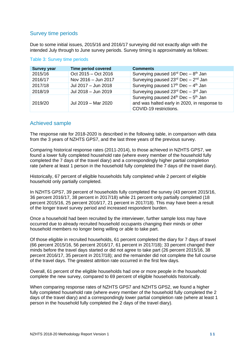## Survey time periods

Due to some initial issues, 2015/16 and 2016/17 surveying did not exactly align with the intended July through to June survey periods. Survey timing is approximately as follows:

| <b>Survey year</b> | <b>Time period covered</b> | <b>Comments</b>                                                                                                         |
|--------------------|----------------------------|-------------------------------------------------------------------------------------------------------------------------|
| 2015/16            | Oct 2015 - Oct 2016        | Surveying paused $16^{rd}$ Dec - $8^{th}$ Jan                                                                           |
| 2016/17            | Nov 2016 - Jun 2017        | Surveying paused $23^{\text{rd}}$ Dec - $2^{\text{nd}}$ Jan                                                             |
| 2017/18            | Jul 2017 - Jun 2018        | Surveying paused $17th$ Dec - $4th$ Jan                                                                                 |
| 2018/19            | Jul 2018 - Jun 2019        | Surveying paused 23rd Dec - 3rd Jan                                                                                     |
| 2019/20            | Jul 2019 - Mar 2020        | Surveying paused $24^{th}$ Dec - $5^{th}$ Jan<br>and was halted early in 2020, in response to<br>COVID-19 restrictions. |

## <span id="page-10-1"></span>Table 3: Survey time periods

## <span id="page-10-0"></span>Achieved sample

The response rate for 2018-2020 is described in the following table, in comparison with data from the 3 years of NZHTS GPS7, and the last three years of the previous survey.

Comparing historical response rates (2011-2014), to those achieved in NZHTS GPS7, we found a lower fully completed household rate (where every member of the household fully completed the 7 days of the travel diary) and a correspondingly higher partial completion rate (where at least 1 person in the household fully completed the 7 days of the travel diary).

Historically, 67 percent of eligible households fully completed while 2 percent of eligible household only partially completed.

In NZHTS GPS7, 39 percent of households fully completed the survey (43 percent 2015/16, 36 percent 2016/17, 38 percent in 2017/18) while 21 percent only partially completed (18 percent 2015/16, 25 percent 2016/17, 21 percent in 2017/18). This may have been a result of the longer travel survey period and increased respondent burden.

Once a household had been recruited by the interviewer, further sample loss may have occurred due to already recruited household occupants changing their minds or other household members no longer being willing or able to take part.

Of those eligible in recruited households, 61 percent completed the diary for 7 days of travel (66 percent 2015/16, 56 percent 2016/17, 61 percent in 2017/18); 33 percent changed their minds before the travel days started or did not agree to take part (26 percent 2015/16, 38 percent 2016/17, 35 percent in 2017/18); and the remainder did not complete the full course of the travel days. The greatest attrition rate occurred in the first few days.

Overall, 61 percent of the eligible households had one or more people in the household complete the new survey, compared to 69 percent of eligible households historically.

When comparing response rates of NZHTS GPS7 and NZHTS GPS2, we found a higher fully completed household rate (where every member of the household fully completed the 2 days of the travel diary) and a correspondingly lower partial completion rate (where at least 1 person in the household fully completed the 2 days of the travel diary).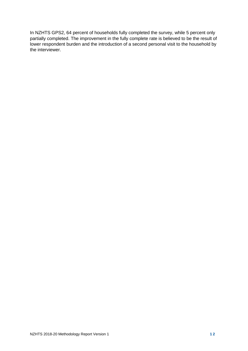In NZHTS GPS2, 64 percent of households fully completed the survey, while 5 percent only partially completed. The improvement in the fully complete rate is believed to be the result of lower respondent burden and the introduction of a second personal visit to the household by the interviewer.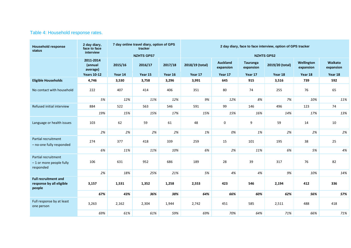## Table 4: Household response rates.

<span id="page-12-0"></span>

| <b>Household response</b><br>status                                  | 2 day diary,<br>face to face<br>interview |         | 7 day online travel diary, option of GPS<br>tracker |         |                   | 2 day diary, face to face interview, option of GPS tracker |                              |                 |                         |                      |
|----------------------------------------------------------------------|-------------------------------------------|---------|-----------------------------------------------------|---------|-------------------|------------------------------------------------------------|------------------------------|-----------------|-------------------------|----------------------|
|                                                                      |                                           |         | <b>NZHTS GPS7</b>                                   |         | <b>NZHTS GPS2</b> |                                                            |                              |                 |                         |                      |
|                                                                      | 2011-2014<br>(annual<br>average)          | 2015/16 | 2016/17                                             | 2017/18 | 2018/19 (total)   | <b>Auckland</b><br>expansion                               | <b>Tauranga</b><br>expansion | 2019/20 (total) | Wellington<br>expansion | Waikato<br>expansion |
|                                                                      | <b>Years 10-12</b>                        | Year 14 | Year 15                                             | Year 16 | Year 17           | Year 17                                                    | Year 17                      | Year 18         | Year 18                 | Year 18              |
| <b>Eligible Households</b>                                           | 4,746                                     | 3,530   | 3,758                                               | 3,296   | 3,991             | 645                                                        | 915                          | 3,516           | 739                     | 592                  |
| No contact with household                                            | 222                                       | 407     | 414                                                 | 406     | 351               | 80                                                         | 74                           | 255             | 76                      | 65                   |
|                                                                      | 5%                                        | 12%     | 11%                                                 | 12%     | 9%                | 12%                                                        | 8%                           | 7%              | 10%                     | 11%                  |
| Refused initial interview                                            | 884                                       | 522     | 563                                                 | 546     | 591               | 99                                                         | 146                          | 496             | 123                     | 74                   |
|                                                                      | 19%                                       | 15%     | 15%                                                 | 17%     | 15%               | 15%                                                        | 16%                          | 14%             | 17%                     | 13%                  |
| Language or health issues                                            | 103                                       | 62      | 59                                                  | 61      | 48                | $\mathbf 0$                                                | 9                            | 59              | 14                      | 10                   |
|                                                                      | 2%                                        | 2%      | 2%                                                  | 2%      | 1%                | 0%                                                         | 1%                           | 2%              | 2%                      | 2%                   |
| Partial recruitment<br>- no-one fully responded                      | 274                                       | 377     | 418                                                 | 339     | 259               | 15                                                         | 101                          | 195             | 38                      | 25                   |
|                                                                      | 6%                                        | 11%     | 11%                                                 | 10%     | 6%                | 2%                                                         | 11%                          | 6%              | 5%                      | 4%                   |
| <b>Partial recruitment</b><br>$-1$ or more people fully<br>responded | 106                                       | 631     | 952                                                 | 686     | 189               | 28                                                         | 39                           | 317             | 76                      | 82                   |
|                                                                      | 2%                                        | 18%     | 25%                                                 | 21%     | 5%                | 4%                                                         | 4%                           | 9%              | 10%                     | 14%                  |
| <b>Full recruitment and</b><br>response by all eligible<br>people    | 3,157                                     | 1,531   | 1,352                                               | 1,258   | 2,553             | 423                                                        | 546                          | 2,194           | 412                     | 336                  |
|                                                                      | 67%                                       | 43%     | 36%                                                 | 38%     | 64%               | 66%                                                        | 60%                          | 62%             | 56%                     | 57%                  |
| Full response by at least<br>one person                              | 3,263                                     | 2,162   | 2,304                                               | 1,944   | 2,742             | 451                                                        | 585                          | 2,511           | 488                     | 418                  |
|                                                                      | 69%                                       | 61%     | 61%                                                 | 59%     | 69%               | 70%                                                        | 64%                          | 71%             | 66%                     | 71%                  |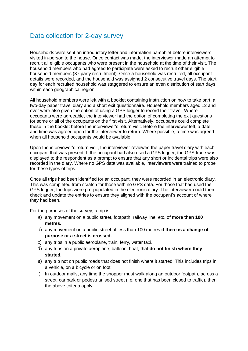## <span id="page-13-0"></span>Data collection for 2-day survey

Households were sent an introductory letter and information pamphlet before interviewers visited in-person to the house. Once contact was made, the interviewer made an attempt to recruit all eligible occupants who were present in the household at the time of their visit. The household members who had agreed to participate were asked to recruit other eligible household members (3<sup>rd</sup> party recruitment). Once a household was recruited, all occupant details were recorded, and the household was assigned 2 consecutive travel days. The start day for each recruited household was staggered to ensure an even distribution of start days within each geographical region.

All household members were left with a booklet containing instruction on how to take part, a two-day paper travel diary and a short exit questionnaire. Household members aged 12 and over were also given the option of using a GPS logger to record their travel. Where occupants were agreeable, the interviewer had the option of completing the exit questions for some or all of the occupants on the first visit. Alternatively, occupants could complete these in the booklet before the interviewer's return visit. Before the interviewer left, a date and time was agreed upon for the interviewer to return. Where possible, a time was agreed when all household occupants would be available.

Upon the interviewer's return visit, the interviewer reviewed the paper travel diary with each occupant that was present. If the occupant had also used a GPS logger, the GPS trace was displayed to the respondent as a prompt to ensure that any short or incidental trips were also recorded in the diary. Where no GPS data was available, interviewers were trained to probe for these types of trips.

Once all trips had been identified for an occupant, they were recorded in an electronic diary. This was completed from scratch for those with no GPS data. For those that had used the GPS logger, the trips were pre-populated in the electronic diary. The interviewer could then check and update the entries to ensure they aligned with the occupant's account of where they had been.

For the purposes of the survey, a trip is:

- a) any movement on a public street, footpath, railway line, etc. of **more than 100 metres.**
- b) any movement on a public street of less than 100 metres **if there is a change of purpose or a street is crossed.**
- c) any trips in a public aeroplane, train, ferry, water taxi.
- d) any trips on a private aeroplane, balloon, boat, that **do not finish where they started.**
- e) any trip not on public roads that does not finish where it started. This includes trips in a vehicle, on a bicycle or on foot.
- f) In outdoor malls, any time the shopper must walk along an outdoor footpath, across a street, car park or pedestrianised street (i.e. one that has been closed to traffic), then the above criteria apply.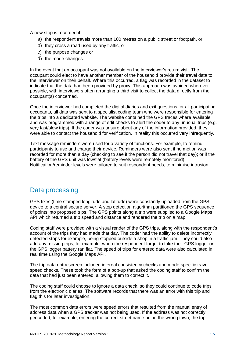A new stop is recorded if:

- a) the respondent travels more than 100 metres on a public street or footpath, or
- b) they cross a road used by any traffic, or
- c) the purpose changes or
- d) the mode changes.

In the event that an occupant was not available on the interviewer's return visit. The occupant could elect to have another member of the household provide their travel data to the interviewer on their behalf. Where this occurred, a flag was recorded in the dataset to indicate that the data had been provided by proxy. This approach was avoided wherever possible, with interviewers often arranging a third visit to collect the data directly from the occupant(s) concerned.

Once the interviewer had completed the digital diaries and exit questions for all participating occupants, all data was sent to a specialist coding team who were responsible for entering the trips into a dedicated website. The website contained the GPS traces where available and was programmed with a range of edit checks to alert the coder to any unusual trips (e.g. very fast/slow trips). If the coder was unsure about any of the information provided, they were able to contact the household for verification. In reality this occurred very infrequently.

Text message reminders were used for a variety of functions. For example, to remind participants to use and charge their device. Reminders were also sent if no motion was recorded for more than a day (checking to see if the person did not travel that day); or if the battery of the GPS unit was low/flat (battery levels were remotely monitored). Notification/reminder levels were tailored to suit respondent needs, to minimise intrusion.

## <span id="page-14-0"></span>Data processing

GPS fixes (time stamped longitude and latitude) were constantly uploaded from the GPS device to a central secure server. A stop detection algorithm partitioned the GPS sequence of points into proposed trips. The GPS points along a trip were supplied to a Google Maps API which returned a trip speed and distance and rendered the trip on a map.

Coding staff were provided with a visual render of the GPS trips, along with the respondent's account of the trips they had made that day. The coder had the ability to delete incorrectly detected stops for example, being stopped outside a shop in a traffic jam. They could also add any missing trips, for example, when the respondent forgot to take their GPS logger or the GPS logger battery ran flat. The speed of trips for entered data were also calculated in real time using the Google Maps API.

The trip data entry screen included internal consistency checks and mode-specific travel speed checks. These took the form of a pop-up that asked the coding staff to confirm the data that had just been entered, allowing them to correct it.

The coding staff could choose to ignore a data check, so they could continue to code trips from the electronic diaries. The software records that there was an error with this trip and flag this for later investigation.

The most common data errors were speed errors that resulted from the manual entry of address data when a GPS tracker was not being used. If the address was not correctly geocoded, for example, entering the correct street name but in the wrong town, the trip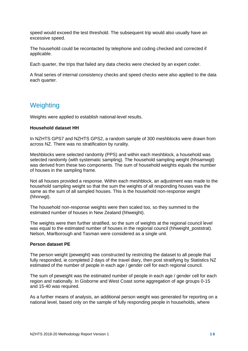speed would exceed the test threshold. The subsequent trip would also usually have an excessive speed.

The household could be recontacted by telephone and coding checked and corrected if applicable.

Each quarter, the trips that failed any data checks were checked by an expert coder.

A final series of internal consistency checks and speed checks were also applied to the data each quarter.

## <span id="page-15-0"></span>**Weighting**

Weights were applied to establish national-level results.

### **Household dataset HH**

In NZHTS GPS7 and NZHTS GPS2, a random sample of 300 meshblocks were drawn from across NZ. There was no stratification by rurality.

Meshblocks were selected randomly (PPS) and within each meshblock, a household was selected randomly (with systematic sampling). The household sampling weight (hhsamwgt) was derived from these two components. The sum of household weights equals the number of houses in the sampling frame.

Not all houses provided a response. Within each meshblock, an adjustment was made to the household sampling weight so that the sum the weights of all responding houses was the same as the sum of all sampled houses. This is the household non-response weight (hhnrwgt).

The household non-response weights were then scaled too, so they summed to the estimated number of houses in New Zealand (hhweight).

The weights were then further stratified, so the sum of weights at the regional council level was equal to the estimated number of houses in the regional council (hhweight poststrat). Nelson, Marlborough and Tasman were considered as a single unit.

## **Person dataset PE**

The person weight (peweight) was constructed by restricting the dataset to all people that fully responded, ie completed 2 days of the travel diary, then post stratifying by Statistics NZ estimated of the number of people in each age / gender cell for each regional council.

The sum of peweight was the estimated number of people in each age / gender cell for each region and nationally. In Gisborne and West Coast some aggregation of age groups 0-15 and 15-40 was required.

As a further means of analysis, an additional person weight was generated for reporting on a national level, based only on the sample of fully responding people in households, where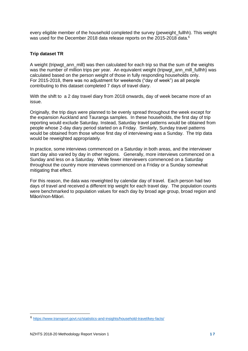every eligible member of the household completed the survey (peweight\_fullhh). This weight was used for the December 2018 data release reports on the 2015-2018 data.<sup>6</sup>

## **Trip dataset TR**

A weight (tripwgt\_ann\_mill) was then calculated for each trip so that the sum of the weights was the number of million trips per year. An equivalent weight (tripwgt ann mill fullhh) was calculated based on the person weight of those in fully responding households only. For 2015-2018, there was no adjustment for weekends ("day of week") as all people contributing to this dataset completed 7 days of travel diary.

With the shift to a 2 day travel diary from 2018 onwards, day of week became more of an issue.

Originally, the trip days were planned to be evenly spread throughout the week except for the expansion Auckland and Tauranga samples. In these households, the first day of trip reporting would exclude Saturday. Instead, Saturday travel patterns would be obtained from people whose 2-day diary period started on a Friday. Similarly, Sunday travel patterns would be obtained from those whose first day of interviewing was a Sunday. The trip data would be reweighted appropriately.

In practice, some interviews commenced on a Saturday in both areas, and the interviewer start day also varied by day in other regions. Generally, more interviews commenced on a Sunday and less on a Saturday. While fewer interviewers commenced on a Saturday throughout the country more interviews commenced on a Friday or a Sunday somewhat mitigating that effect.

For this reason, the data was reweighted by calendar day of travel. Each person had two days of travel and received a different trip weight for each travel day. The population counts were benchmarked to population values for each day by broad age group, broad region and Māori/non-Māori.

<sup>6</sup> <https://www.transport.govt.nz/statistics-and-insights/household-travel/key-facts/>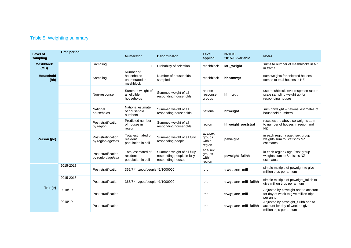## Table 5: Weighting summary

<span id="page-17-0"></span>

| Level of<br>sampling     | <b>Time period</b> |                                          | <b>Numerator</b>                                      | <b>Denominator</b>                                                            | Level<br>applied                      | <b>NZHTS</b><br>2015-16 variable | <b>Notes</b>                                                                                     |
|--------------------------|--------------------|------------------------------------------|-------------------------------------------------------|-------------------------------------------------------------------------------|---------------------------------------|----------------------------------|--------------------------------------------------------------------------------------------------|
| <b>Meshblock</b><br>(MB) |                    | Sampling                                 |                                                       | Probabilty of selection                                                       | meshblock                             | MB_weight                        | sums to number of meshblocks in NZ<br>in frame                                                   |
| Household<br>(hh)        |                    | Sampling                                 | Number of<br>households<br>enumerated in<br>meshblock | Number of households<br>sampled                                               | meshblock                             | hhsamwqt                         | sum weights for selected houses<br>comes to total houses in NZ                                   |
|                          |                    | Non-response                             | Summed weight of<br>all eligible<br>households        | Summed weight of all<br>responding households                                 | hh non-<br>response<br>groups         | hhnrwgt                          | use meshblock level response rate to<br>scale sampling weight up for<br>responding houses        |
|                          |                    | National<br>households                   | National estimate<br>of household<br>numbers          | Summed weight of all<br>responding households                                 | national                              | hhweight                         | sum hhweight = national estimates of<br>household numbers                                        |
|                          |                    | Post-stratification<br>by region         | Predicted number<br>of houses in<br>region            | Summed weight of all<br>responding households                                 | region                                | hhweight_poststrat               | rescales the above so weights sum<br>to number of houses in region and<br><b>NZ</b>              |
| Person (pe)              |                    | Post-stratification<br>by region/age/sex | Total estimated of<br>resident<br>population in cell  | Summed weight of all fully<br>responding people                               | age/sex<br>groups<br>within<br>region | peweight                         | in each region / age / sex group<br>weights sum to Statistics NZ<br>estimates                    |
|                          |                    | Post-stratification<br>by region/age/sex | Total estimated of<br>resident<br>population in cell  | Summed weight of all fully<br>responding people in fully<br>responding houses | age/sex<br>groups<br>within<br>region | peweight_fullhh                  | in each region / age / sex group<br>weights sum to Statistics NZ<br>estimates                    |
|                          | 2015-2018          | Post-stratification                      | 365/7 * nzpop/people *1/1000000                       |                                                                               | trip                                  | trwgt_ann_mill                   | simple multiple of peweight to give<br>million trips per annum                                   |
| Trip (tr)                | 2015-2018          | Post-stratification                      | 365/7 * nzpop/people *1/1000000                       |                                                                               | trip                                  | trwgt_ann_mill_fullhh            | simple multiple of peweight_fullhh to<br>give million trips per annum                            |
|                          | 2018/19            | Post-stratification                      |                                                       |                                                                               | trip                                  | trwgt_ann_mill                   | Adjusted by peweight and to account<br>for day of week to give million trips<br>per annum        |
|                          | 2018/19            | Post-stratification                      |                                                       |                                                                               | trip                                  | trwgt_ann_mill_fullhh            | Adjusted by peweight_fullhh and to<br>account for day of week to give<br>million trips per annum |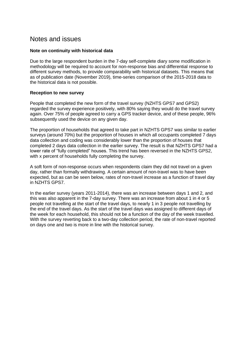## <span id="page-18-0"></span>Notes and issues

## **Note on continuity with historical data**

Due to the large respondent burden in the 7-day self-complete diary some modification in methodology will be required to account for non-response bias and differential response to different survey methods, to provide comparability with historical datasets. This means that as of publication date (November 2019), time-series comparison of the 2015-2018 data to the historical data is not possible.

## **Reception to new survey**

People that completed the new form of the travel survey (NZHTS GPS7 and GPS2) regarded the survey experience positively, with 80% saying they would do the travel survey again. Over 75% of people agreed to carry a GPS tracker device, and of these people, 96% subsequently used the device on any given day.

The proportion of households that agreed to take part in NZHTS GPS7 was similar to earlier surveys (around 70%) but the proportion of houses in which all occupants completed 7 days data collection and coding was considerably lower than the proportion of houses that completed 2 days data collection in the earlier survey. The result is that NZHTS GPS7 had a lower rate of "fully completed" houses. This trend has been reversed in the NZHTS GPS2, with x percent of households fully completing the survey.

A soft form of non-response occurs when respondents claim they did not travel on a given day, rather than formally withdrawing. A certain amount of non-travel was to have been expected, but as can be seen below, rates of non-travel increase as a function of travel day in NZHTS GPS7.

In the earlier survey (years 2011-2014), there was an increase between days 1 and 2, and this was also apparent in the 7-day survey. There was an increase from about 1 in 4 or 5 people not travelling at the start of the travel days, to nearly 1 in 3 people not travelling by the end of the travel days. As the start of the travel days was assigned to different days of the week for each household, this should not be a function of the day of the week travelled. With the survey reverting back to a two-day collection period, the rate of non-travel reported on days one and two is more in line with the historical survey.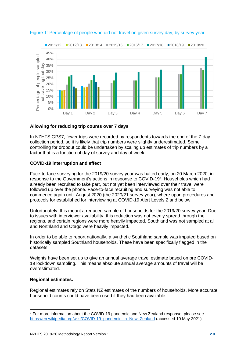

<span id="page-19-0"></span>Figure 1: Percentage of people who did not travel on given survey day, by survey year.

## **Allowing for reducing trip counts over 7 days**

In NZHTS GPS7, fewer trips were recorded by respondents towards the end of the 7-day collection period, so it is likely that trip numbers were slightly underestimated. Some controlling for dropout could be undertaken by scaling up estimates of trip numbers by a factor that is a function of day of survey and day of week.

## **COVID-19 interruption and effect**

Face-to-face surveying for the 2019/20 survey year was halted early, on 20 March 2020, in response to the Government's actions in response to COVID-197. Households which had already been recruited to take part, but not yet been interviewed over their travel were followed up over the phone. Face-to-face recruiting and surveying was not able to commence again until August 2020 (the 2020/21 survey year), where upon procedures and protocols for established for interviewing at COVID-19 Alert Levels 2 and below.

Unfortunately, this meant a reduced sample of households for the 2019/20 survey year. Due to issues with interviewer availability, this reduction was not evenly spread through the regions, and certain regions were more heavily impacted. Southland was not sampled at all and Northland and Otago were heavily impacted.

In order to be able to report nationally, a synthetic Southland sample was imputed based on historically sampled Southland households. These have been specifically flagged in the datasets.

Weights have been set up to give an annual average travel estimate based on pre COVID-19 lockdown sampling. This means absolute annual average amounts of travel will be overestimated.

## **Regional estimates.**

Regional estimates rely on Stats NZ estimates of the numbers of households. More accurate household counts could have been used if they had been available.

<sup>7</sup> For more information about the COVID-19 pandemic and New Zealand response, please see [https://en.wikipedia.org/wiki/COVID-19\\_pandemic\\_in\\_New\\_Zealand](https://en.wikipedia.org/wiki/COVID-19_pandemic_in_New_Zealand) (accessed 10 May 2021)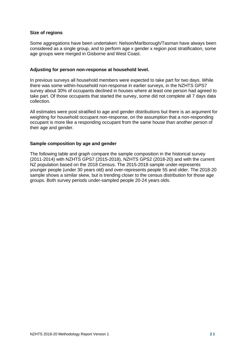## **Size of regions**

Some aggregations have been undertaken: Nelson/Marlborough/Tasman have always been considered as a single group, and to perform age x gender x region post stratification, some age groups were merged in Gisborne and West Coast.

### **Adjusting for person non-response at household level.**

In previous surveys all household members were expected to take part for two days. While there was some within-household non-response in earlier surveys, in the NZHTS GPS7 survey about 30% of occupants declined in houses where at least one person had agreed to take part. Of those occupants that started the survey, some did not complete all 7 days data collection.

All estimates were post stratified to age and gender distributions but there is an argument for weighting for household occupant non-response, on the assumption that a non-responding occupant is more like a responding occupant from the same house than another person of their age and gender.

### **Sample composition by age and gender**

The following table and graph compare the sample composition in the historical survey (2011-2014) with NZHTS GPS7 (2015-2018), NZHTS GPS2 (2018-20) and with the current NZ population based on the 2018 Census. The 2015-2018 sample under-represents younger people (under 30 years old) and over-represents people 55 and older. The 2018-20 sample shows a similar skew, but is trending closer to the census distribution for those age groups. Both survey periods under-sampled people 20-24 years olds.